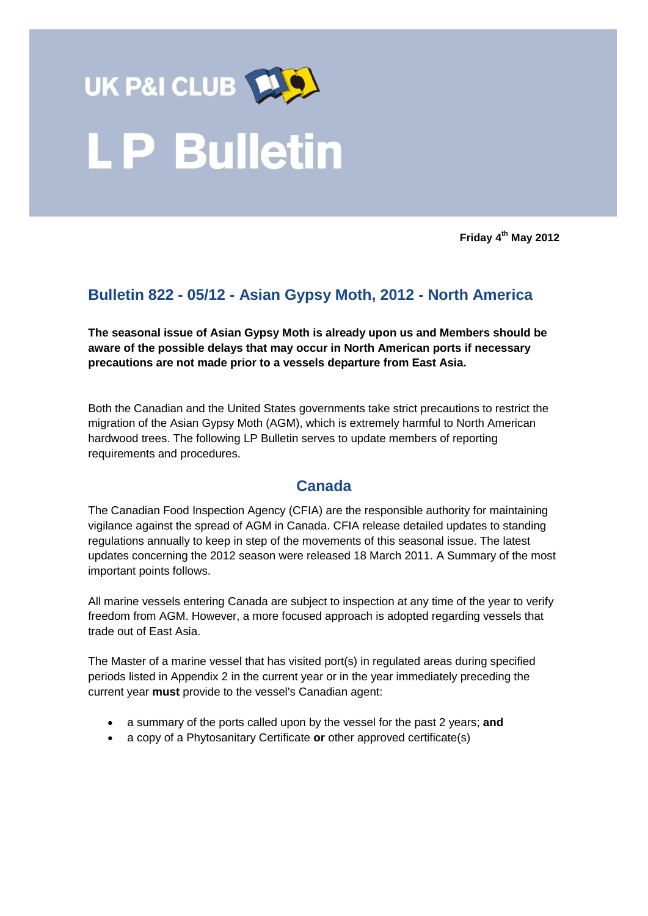

**Friday 4 th May 2012**

# **Bulletin 822 - 05/12 - Asian Gypsy Moth, 2012 - North America**

**The seasonal issue of Asian Gypsy Moth is already upon us and Members should be aware of the possible delays that may occur in North American ports if necessary precautions are not made prior to a vessels departure from East Asia.** 

Both the Canadian and the United States governments take strict precautions to restrict the migration of the Asian Gypsy Moth (AGM), which is extremely harmful to North American hardwood trees. The following LP Bulletin serves to update members of reporting requirements and procedures.

## **Canada**

The Canadian Food Inspection Agency (CFIA) are the responsible authority for maintaining vigilance against the spread of AGM in Canada. CFIA release detailed updates to standing regulations annually to keep in step of the movements of this seasonal issue. The latest updates concerning the 2012 season were released 18 March 2011. A Summary of the most important points follows.

All marine vessels entering Canada are subject to inspection at any time of the year to verify freedom from AGM. However, a more focused approach is adopted regarding vessels that trade out of East Asia.

The Master of a marine vessel that has visited port(s) in regulated areas during specified periods listed in Appendix 2 in the current year or in the year immediately preceding the current year **must** provide to the vessel's Canadian agent:

- a summary of the ports called upon by the vessel for the past 2 years; **and**
- a copy of a Phytosanitary Certificate **or** other approved certificate(s)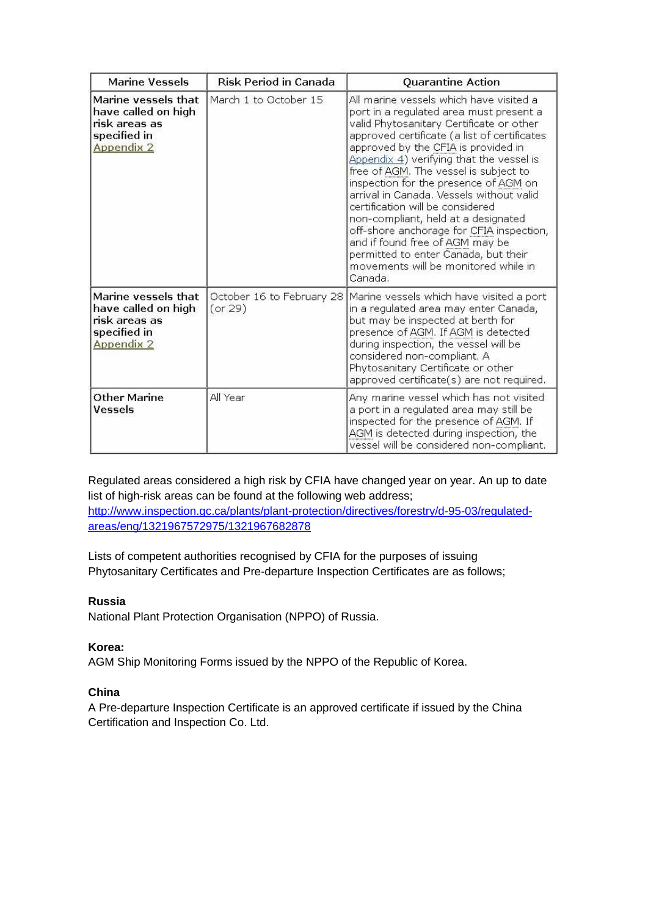| <b>Marine Vessels</b>                                                                            | <b>Risk Period in Canada</b>         | Quarantine Action                                                                                                                                                                                                                                                                                                                                                                                                                                                                                                                                                                                                                                    |  |  |  |  |  |
|--------------------------------------------------------------------------------------------------|--------------------------------------|------------------------------------------------------------------------------------------------------------------------------------------------------------------------------------------------------------------------------------------------------------------------------------------------------------------------------------------------------------------------------------------------------------------------------------------------------------------------------------------------------------------------------------------------------------------------------------------------------------------------------------------------------|--|--|--|--|--|
| Marine vessels that<br>have called on high<br>risk areas as<br>specified in<br><b>Appendix 2</b> | March 1 to October 15                | All marine vessels which have visited a<br>port in a regulated area must present a<br>valid Phytosanitary Certificate or other<br>approved certificate (a list of certificates<br>approved by the CFIA is provided in<br>Appendix 4) verifying that the vessel is<br>free of AGM. The vessel is subject to<br>inspection for the presence of AGM on<br>arrival in Canada. Vessels without valid<br>certification will be considered<br>non-compliant, held at a designated<br>off-shore anchorage for CFIA inspection,<br>and if found free of AGM may be<br>permitted to enter Canada, but their<br>movements will be monitored while in<br>Canada. |  |  |  |  |  |
| Marine vessels that<br>have called on high<br>risk areas as<br>specified in<br><b>Appendix 2</b> | October 16 to February 28<br>(or 29) | Marine vessels which have visited a port<br>in a regulated area may enter Canada,<br>but may be inspected at berth for<br>presence of AGM. If AGM is detected<br>during inspection, the vessel will be<br>considered non-compliant. A<br>Phytosanitary Certificate or other<br>approved certificate(s) are not required.                                                                                                                                                                                                                                                                                                                             |  |  |  |  |  |
| <b>Other Marine</b><br>Vessels                                                                   | All Year                             | Any marine vessel which has not visited<br>a port in a regulated area may still be<br>inspected for the presence of AGM. If<br>AGM is detected during inspection, the<br>vessel will be considered non-compliant.                                                                                                                                                                                                                                                                                                                                                                                                                                    |  |  |  |  |  |

Regulated areas considered a high risk by CFIA have changed year on year. An up to date list of high-risk areas can be found at the following web address; [http://www.inspection.gc.ca/plants/plant-protection/directives/forestry/d-95-03/regulated](http://www.inspection.gc.ca/plants/plant-protection/directives/forestry/d-95-03/regulated-areas/eng/1321967572975/1321967682878)[areas/eng/1321967572975/1321967682878](http://www.inspection.gc.ca/plants/plant-protection/directives/forestry/d-95-03/regulated-areas/eng/1321967572975/1321967682878)

Lists of competent authorities recognised by CFIA for the purposes of issuing Phytosanitary Certificates and Pre-departure Inspection Certificates are as follows;

#### **Russia**

National Plant Protection Organisation (NPPO) of Russia.

#### **Korea:**

AGM Ship Monitoring Forms issued by the NPPO of the Republic of Korea.

#### **China**

A Pre-departure Inspection Certificate is an approved certificate if issued by the China Certification and Inspection Co. Ltd.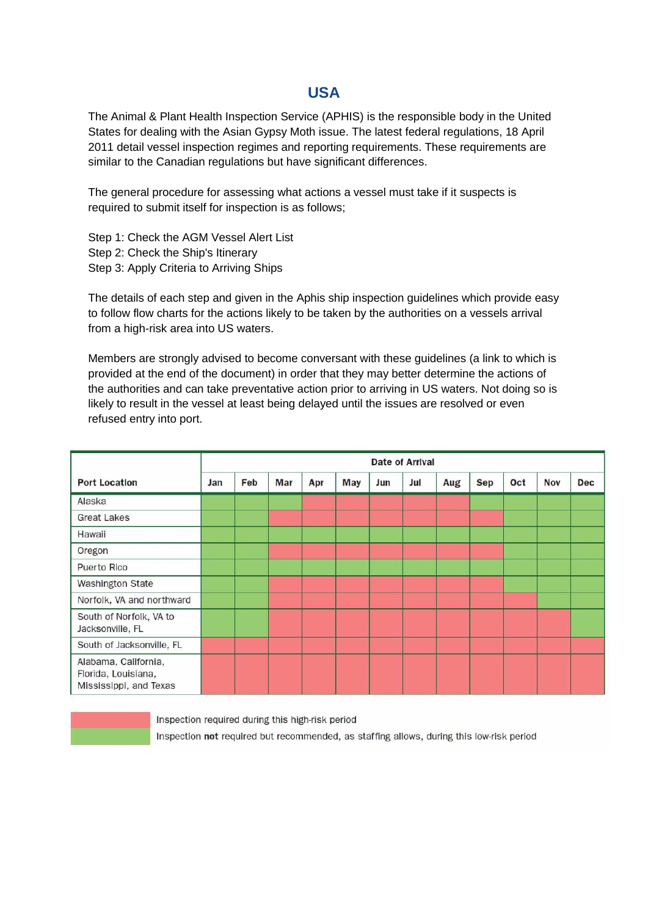### **USA**

The Animal & Plant Health Inspection Service (APHIS) is the responsible body in the United States for dealing with the Asian Gypsy Moth issue. The latest federal regulations, 18 April 2011 detail vessel inspection regimes and reporting requirements. These requirements are similar to the Canadian regulations but have significant differences.

The general procedure for assessing what actions a vessel must take if it suspects is required to submit itself for inspection is as follows;

Step 1: Check the AGM Vessel Alert List Step 2: Check the Ship's Itinerary Step 3: Apply Criteria to Arriving Ships

The details of each step and given in the Aphis ship inspection guidelines which provide easy to follow flow charts for the actions likely to be taken by the authorities on a vessels arrival from a high-risk area into US waters.

Members are strongly advised to become conversant with these guidelines (a link to which is provided at the end of the document) in order that they may better determine the actions of the authorities and can take preventative action prior to arriving in US waters. Not doing so is likely to result in the vessel at least being delayed until the issues are resolved or even refused entry into port.

|                                                                       | <b>Date of Arrival</b> |     |     |     |            |     |     |     |            |     |            |     |
|-----------------------------------------------------------------------|------------------------|-----|-----|-----|------------|-----|-----|-----|------------|-----|------------|-----|
| <b>Port Location</b>                                                  | Jan                    | Feb | Mar | Apr | <b>May</b> | Jun | Jul | Aug | <b>Sep</b> | Oct | <b>Nov</b> | Dec |
| Alaska                                                                |                        |     |     |     |            |     |     |     |            |     |            |     |
| <b>Great Lakes</b>                                                    |                        |     |     |     |            |     |     |     |            |     |            |     |
| Hawaii                                                                |                        |     |     |     |            |     |     |     |            |     |            |     |
| Oregon                                                                |                        |     |     |     |            |     |     |     |            |     |            |     |
| <b>Puerto Rico</b>                                                    |                        |     |     |     |            |     |     |     |            |     |            |     |
| <b>Washington State</b>                                               |                        |     |     |     |            |     |     |     |            |     |            |     |
| Norfolk, VA and northward                                             |                        |     |     |     |            |     |     |     |            |     |            |     |
| South of Norfolk, VA to<br>Jacksonville, FL                           |                        |     |     |     |            |     |     |     |            |     |            |     |
| South of Jacksonville, FL                                             |                        |     |     |     |            |     |     |     |            |     |            |     |
| Alabama, California,<br>Florida, Louisiana,<br>Mississippi, and Texas |                        |     |     |     |            |     |     |     |            |     |            |     |

Inspection required during this high-risk period Inspection not required but recommended, as staffing allows, during this low-risk period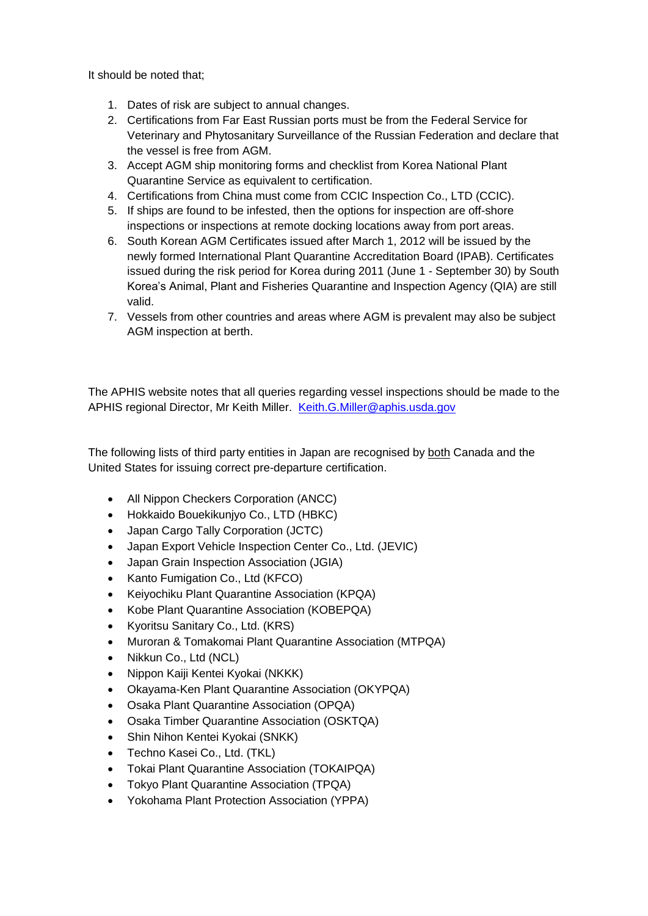It should be noted that;

- 1. Dates of risk are subject to annual changes.
- 2. Certifications from Far East Russian ports must be from the Federal Service for Veterinary and Phytosanitary Surveillance of the Russian Federation and declare that the vessel is free from AGM.
- 3. Accept AGM ship monitoring forms and checklist from Korea National Plant Quarantine Service as equivalent to certification.
- 4. Certifications from China must come from CCIC Inspection Co., LTD (CCIC).
- 5. If ships are found to be infested, then the options for inspection are off-shore inspections or inspections at remote docking locations away from port areas.
- 6. South Korean AGM Certificates issued after March 1, 2012 will be issued by the newly formed International Plant Quarantine Accreditation Board (IPAB). Certificates issued during the risk period for Korea during 2011 (June 1 - September 30) by South Korea's Animal, Plant and Fisheries Quarantine and Inspection Agency (QIA) are still valid.
- 7. Vessels from other countries and areas where AGM is prevalent may also be subject AGM inspection at berth.

The APHIS website notes that all queries regarding vessel inspections should be made to the APHIS regional Director, Mr Keith Miller. [Keith.G.Miller@aphis.usda.gov](mailto:Keith.G.Miller@aphis.usda.gov)

The following lists of third party entities in Japan are recognised by both Canada and the United States for issuing correct pre-departure certification.

- All Nippon Checkers Corporation (ANCC)
- Hokkaido Bouekikunjyo Co., LTD (HBKC)
- Japan Cargo Tally Corporation (JCTC)
- Japan Export Vehicle Inspection Center Co., Ltd. (JEVIC)
- Japan Grain Inspection Association (JGIA)
- Kanto Fumigation Co., Ltd (KFCO)
- Keiyochiku Plant Quarantine Association (KPQA)
- Kobe Plant Quarantine Association (KOBEPQA)
- Kyoritsu Sanitary Co., Ltd. (KRS)
- Muroran & Tomakomai Plant Quarantine Association (MTPQA)
- Nikkun Co., Ltd (NCL)
- Nippon Kaiji Kentei Kyokai (NKKK)
- Okayama-Ken Plant Quarantine Association (OKYPQA)
- Osaka Plant Quarantine Association (OPQA)
- Osaka Timber Quarantine Association (OSKTQA)
- Shin Nihon Kentei Kyokai (SNKK)
- Techno Kasei Co., Ltd. (TKL)
- Tokai Plant Quarantine Association (TOKAIPQA)
- Tokyo Plant Quarantine Association (TPQA)
- Yokohama Plant Protection Association (YPPA)